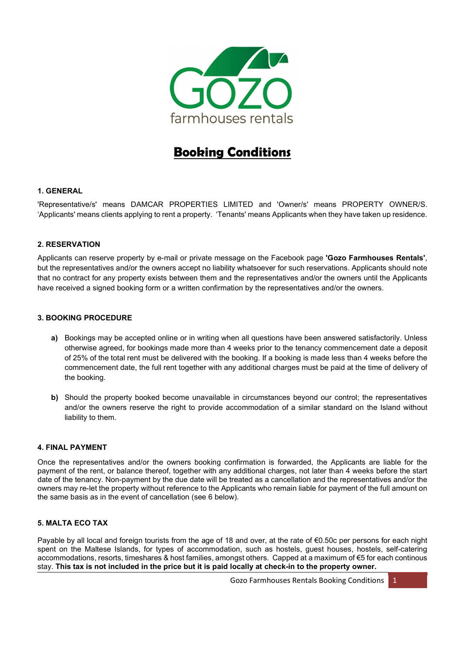

# Booking Conditions

# 1. GENERAL

'Representative/s' means DAMCAR PROPERTIES LIMITED and 'Owner/s' means PROPERTY OWNER/S. 'Applicants' means clients applying to rent a property. 'Tenants' means Applicants when they have taken up residence.

## 2. RESERVATION

Applicants can reserve property by e-mail or private message on the Facebook page 'Gozo Farmhouses Rentals', but the representatives and/or the owners accept no liability whatsoever for such reservations. Applicants should that no contract for any property exists between them and the representatives and/or the owners until the Applicants have received a signed booking form or a written confirmation by the representatives and/or the owners.

#### 3. BOOKING PROCEDURE

- a) Bookings may be accepted online or in writing when all questions have been answered satisfactorily. Unless otherwise agreed, for bookings made more than 4 weeks prior to the tenancy commencement date a deposit of 25% of the total rent must be delivered with the booking. If a booking is made less than 4 weeks before the commencement date, the full rent together with any additional charges must be paid at the time of delivery of the booking.
- b) Should the property booked become unavailable in circumstances beyond our control; the representatives and/or the owners reserve the right to provide accommodation of a similar standard on the Island without liability to them.

#### 4. FINAL PAYMENT

Once the representatives and/or the owners booking confirmation is forwarded, the Applicants are liable for the payment of the rent, or balance thereof, together with any additional charges, not later than 4 weeks before the start date of the tenancy. Non-payment by the due date will be treated as a cancellation and the representatives and/or the owners may re-let the property without reference to the Applicants who remain liable for payment of the full amount on the same basis as in the event of cancellation (see 6 below).

#### 5. MALTA ECO TAX

Payable by all local and foreign tourists from the age of 18 and over, at the rate of €0.50c per persons for each night spent on the Maltese Islands, for types of accommodation, such as hostels, guest houses, hostels, self-catering accommodations, resorts, timeshares & host families, amongst others. Capped at a maximum of €5 for each continous stay. This tax is not included in the price but it is paid locally at check-in to the property owner.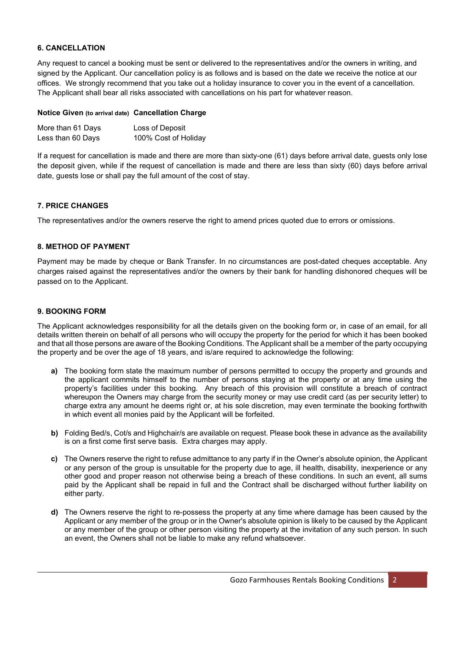## 6. CANCELLATION

Any request to cancel a booking must be sent or delivered to the representatives and/or the owners in writing, and signed by the Applicant. Our cancellation policy is as follows and is based on the date we receive the notice at our offices. We strongly recommend that you take out a holiday insurance to cover you in the event of a cancellation. The Applicant shall bear all risks associated with cancellations on his part for whatever reason.

#### Notice Given (to arrival date) Cancellation Charge

| More than 61 Days | Loss of Deposit      |
|-------------------|----------------------|
| Less than 60 Days | 100% Cost of Holiday |

If a request for cancellation is made and there are more than sixty-one (61) days before arrival date, guests only lose the deposit given, while if the request of cancellation is made and there are less than sixty (60) days before arrival date, guests lose or shall pay the full amount of the cost of stay.

## 7. PRICE CHANGES

The representatives and/or the owners reserve the right to amend prices quoted due to errors or omissions.

#### 8. METHOD OF PAYMENT

Payment may be made by cheque or Bank Transfer. In no circumstances are post-dated cheques acceptable. Any charges raised against the representatives and/or the owners by their bank for handling dishonored cheques will be passed on to the Applicant.

#### 9. BOOKING FORM

The Applicant acknowledges responsibility for all the details given on the booking form or, in case of an email, for all details written therein on behalf of all persons who will occupy the property for the period for which it has been booked and that all those persons are aware of the Booking Conditions. The Applicant shall be a member of the party occupying the property and be over the age of 18 years, and is/are required to acknowledge the following:

- a) The booking form state the maximum number of persons permitted to occupy the property and grounds and the applicant commits himself to the number of persons staying at the property or at any time using the property's facilities under this booking. Any breach of this provision will constitute a breach of contract whereupon the Owners may charge from the security money or may use credit card (as per security letter) to charge extra any amount he deems right or, at his sole discretion, may even terminate the booking forthwith in which event all monies paid by the Applicant will be forfeited.
- b) Folding Bed/s, Cot/s and Highchair/s are available on request. Please book these in advance as the availability is on a first come first serve basis. Extra charges may apply.
- c) The Owners reserve the right to refuse admittance to any party if in the Owner's absolute opinion, the Applicant or any person of the group is unsuitable for the property due to age, ill health, disability, inexperience or any other good and proper reason not otherwise being a breach of these conditions. In such an event, all sums paid by the Applicant shall be repaid in full and the Contract shall be discharged without further liability on either party.
- d) The Owners reserve the right to re-possess the property at any time where damage has been caused by the Applicant or any member of the group or in the Owner's absolute opinion is likely to be caused by the Applicant or any member of the group or other person visiting the property at the invitation of any such person. In such an event, the Owners shall not be liable to make any refund whatsoever.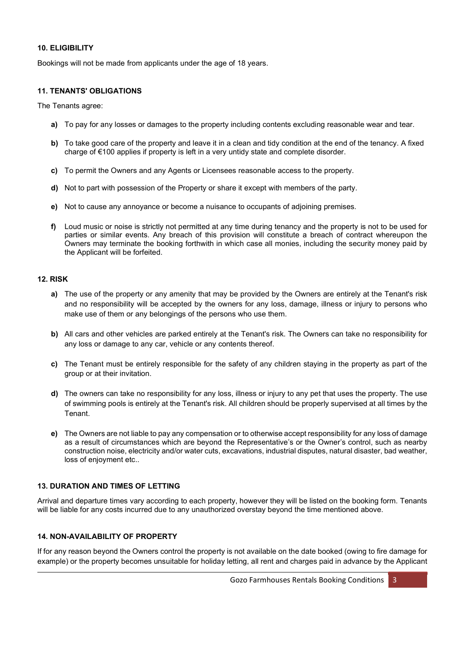## 10. ELIGIBILITY

Bookings will not be made from applicants under the age of 18 years.

#### 11. TENANTS' OBLIGATIONS

The Tenants agree:

- a) To pay for any losses or damages to the property including contents excluding reasonable wear and tear.
- b) To take good care of the property and leave it in a clean and tidy condition at the end of the tenancy. A fixed charge of €100 applies if property is left in a very untidy state and complete disorder.
- c) To permit the Owners and any Agents or Licensees reasonable access to the property.
- d) Not to part with possession of the Property or share it except with members of the party.
- e) Not to cause any annoyance or become a nuisance to occupants of adjoining premises.
- f) Loud music or noise is strictly not permitted at any time during tenancy and the property is not to be used for parties or similar events. Any breach of this provision will constitute a breach of contract whereupon the Owners may terminate the booking forthwith in which case all monies, including the security money paid by the Applicant will be forfeited.

## 12. RISK

- a) The use of the property or any amenity that may be provided by the Owners are entirely at the Tenant's risk and no responsibility will be accepted by the owners for any loss, damage, illness or injury to persons who make use of them or any belongings of the persons who use them.
- b) All cars and other vehicles are parked entirely at the Tenant's risk. The Owners can take no responsibility for any loss or damage to any car, vehicle or any contents thereof.
- c) The Tenant must be entirely responsible for the safety of any children staying in the property as part of the group or at their invitation.
- d) The owners can take no responsibility for any loss, illness or injury to any pet that uses the property. The use of swimming pools is entirely at the Tenant's risk. All children should be properly supervised at all times by the **Tenant**
- e) The Owners are not liable to pay any compensation or to otherwise accept responsibility for any loss of damage as a result of circumstances which are beyond the Representative's or the Owner's control, such as nearby construction noise, electricity and/or water cuts, excavations, industrial disputes, natural disaster, bad weather, loss of enjoyment etc..

## 13. DURATION AND TIMES OF LETTING

Arrival and departure times vary according to each property, however they will be listed on the booking form. Tenants will be liable for any costs incurred due to any unauthorized overstay beyond the time mentioned above.

## 14. NON-AVAILABILITY OF PROPERTY

If for any reason beyond the Owners control the property is not available on the date booked (owing to fire damage for example) or the property becomes unsuitable for holiday letting, all rent and charges paid in advance by the Applicant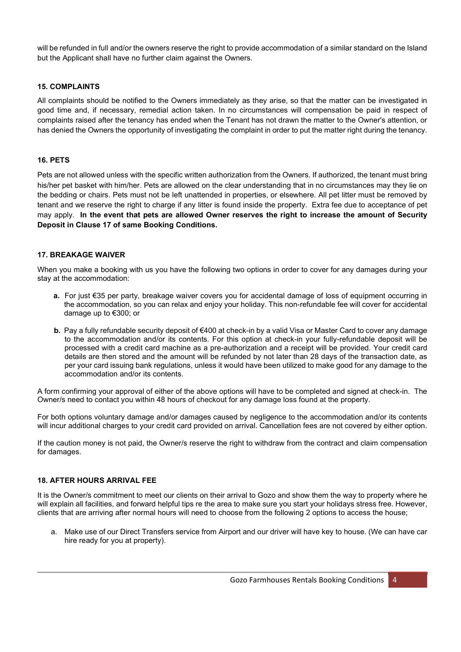will be refunded in full and/or the owners reserve the right to provide accommodation of a similar standard on the Island but the Applicant shall have no further claim against the Owners.

## 15. COMPLAINTS

All complaints should be notified to the Owners immediately as they arise, so that the matter can be investigated in good time and, if necessary, remedial action taken. In no circumstances will compensation be paid in respect of complaints raised after the tenancy has ended when the Tenant has not drawn the matter to the Owner's attention, or has denied the Owners the opportunity of investigating the complaint in order to put the matter right during the tenancy.

## 16. PETS

Pets are not allowed unless with the specific written authorization from the Owners. If authorized, the tenant must bring his/her pet basket with him/her. Pets are allowed on the clear understanding that in no circumstances may they lie on the bedding or chairs. Pets must not be left unattended in properties, or elsewhere. All pet litter must be removed by tenant and we reserve the right to charge if any litter is found inside the property. Extra fee due to acceptance of pet may apply. In the event that pets are allowed Owner reserves the right to increase the amount of Security Deposit in Clause 17 of same Booking Conditions.

# 17. BREAKAGE WAIVER

When you make a booking with us you have the following two options in order to cover for any damages during your stay at the accommodation:

- a. For just €35 per party, breakage waiver covers you for accidental damage of loss of equipment occurring in the accommodation, so you can relax and enjoy your holiday. This non-refundable fee will cover for accidental damage up to €300; or
- b. Pay a fully refundable security deposit of €400 at check-in by a valid Visa or Master Card to cover any damage to the accommodation and/or its contents. For this option at check-in your fully-refundable deposit will be processed with a credit card machine as a pre-authorization and a receipt will be provided. Your credit card details are then stored and the amount will be refunded by not later than 28 days of the transaction date, as per your card issuing bank regulations, unless it would have been utilized to make good for any damage to the accommodation and/or its contents.

A form confirming your approval of either of the above options will have to be completed and signed at check-in. The Owner/s need to contact you within 48 hours of checkout for any damage loss found at the property.

For both options voluntary damage and/or damages caused by negligence to the accommodation and/or its contents will incur additional charges to your credit card provided on arrival. Cancellation fees are not covered by either option.

If the caution money is not paid, the Owner/s reserve the right to withdraw from the contract and claim compensation for damages.

## 18. AFTER HOURS ARRIVAL FEE

It is the Owner/s commitment to meet our clients on their arrival to Gozo and show them the way to property where he will explain all facilities, and forward helpful tips re the area to make sure you start your holidays stress free. However, clients that are arriving after normal hours will need to choose from the following 2 options to access the house;

a. Make use of our Direct Transfers service from Airport and our driver will have key to house. (We can have car hire ready for you at property).